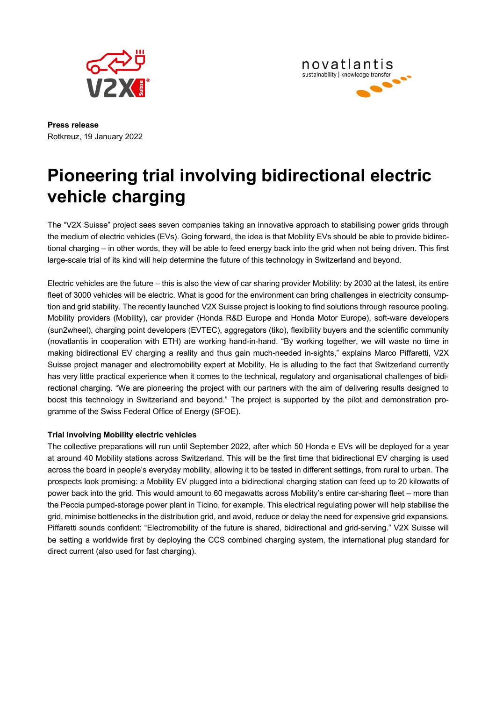



**Press release** Rotkreuz, 19 January 2022

# **Pioneering trial involving bidirectional electric vehicle charging**

The "V2X Suisse" project sees seven companies taking an innovative approach to stabilising power grids through the medium of electric vehicles (EVs). Going forward, the idea is that Mobility EVs should be able to provide bidirectional charging – in other words, they will be able to feed energy back into the grid when not being driven. This first large-scale trial of its kind will help determine the future of this technology in Switzerland and beyond.

Electric vehicles are the future – this is also the view of car sharing provider Mobility: by 2030 at the latest, its entire fleet of 3000 vehicles will be electric. What is good for the environment can bring challenges in electricity consumption and grid stability. The recently launched V2X Suisse project is looking to find solutions through resource pooling. Mobility providers (Mobility), car provider (Honda R&D Europe and Honda Motor Europe), soft-ware developers (sun2wheel), charging point developers (EVTEC), aggregators (tiko), flexibility buyers and the scientific community (novatlantis in cooperation with ETH) are working hand-in-hand. "By working together, we will waste no time in making bidirectional EV charging a reality and thus gain much-needed in-sights," explains Marco Piffaretti, V2X Suisse project manager and electromobility expert at Mobility. He is alluding to the fact that Switzerland currently has very little practical experience when it comes to the technical, regulatory and organisational challenges of bidirectional charging. "We are pioneering the project with our partners with the aim of delivering results designed to boost this technology in Switzerland and beyond." The project is supported by the pilot and demonstration programme of the Swiss Federal Office of Energy (SFOE).

## **Trial involving Mobility electric vehicles**

The collective preparations will run until September 2022, after which 50 Honda e EVs will be deployed for a year at around 40 Mobility stations across Switzerland. This will be the first time that bidirectional EV charging is used across the board in people's everyday mobility, allowing it to be tested in different settings, from rural to urban. The prospects look promising: a Mobility EV plugged into a bidirectional charging station can feed up to 20 kilowatts of power back into the grid. This would amount to 60 megawatts across Mobility's entire car-sharing fleet – more than the Peccia pumped-storage power plant in Ticino, for example. This electrical regulating power will help stabilise the grid, minimise bottlenecks in the distribution grid, and avoid, reduce or delay the need for expensive grid expansions. Piffaretti sounds confident: "Electromobility of the future is shared, bidirectional and grid-serving." V2X Suisse will be setting a worldwide first by deploying the CCS combined charging system, the international plug standard for direct current (also used for fast charging).